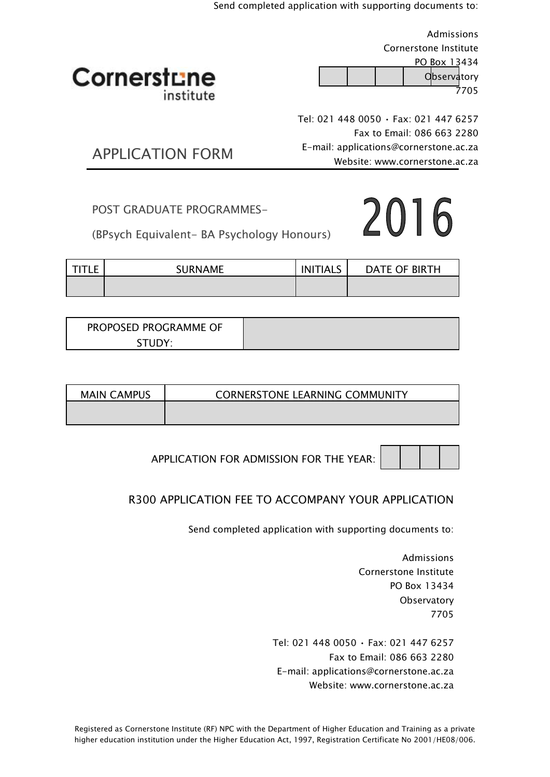Send completed application with supporting documents to:

|                         | Admissions                                  |
|-------------------------|---------------------------------------------|
|                         | Cornerstone Institute                       |
|                         | PO Box 13434                                |
| Cornerstune             | Observatory                                 |
| institute               | 7705                                        |
|                         | Tel: 021 448 0050 $\cdot$ Fax: 021 447 6257 |
|                         | Fax to Email: 086 663 2280                  |
|                         | E-mail: applications@cornerstone.ac.za      |
| <b>APPLICATION FORM</b> | Website: www.cornerstone.ac.za              |

POST GRADUATE PROGRAMMES-

(BPsych Equivalent- BA Psychology Honours)

| <b>TITLE</b> | <b>SURNAME</b> | <b>INITIALS</b> | DATE OF BIRTH |
|--------------|----------------|-----------------|---------------|
|              |                |                 |               |

| PROPOSED PROGRAMME OF |  |
|-----------------------|--|
| STUDY <sup>.</sup>    |  |

| <b>MAIN CAMPUS</b> | <b>CORNERSTONE LEARNING COMMUNITY</b> |
|--------------------|---------------------------------------|
|                    |                                       |

APPLICATION FOR ADMISSION FOR THE YEAR:

## R300 APPLICATION FEE TO ACCOMPANY YOUR APPLICATION

Send completed application with supporting documents to:

Admissions Cornerstone Institute PO Box 13434 **Observatory** 7705

2016

Tel: 021 448 0050 • Fax: 021 447 6257 Fax to Email: 086 663 2280 E-mail: applications@cornerstone.ac.za Website: www.cornerstone.ac.za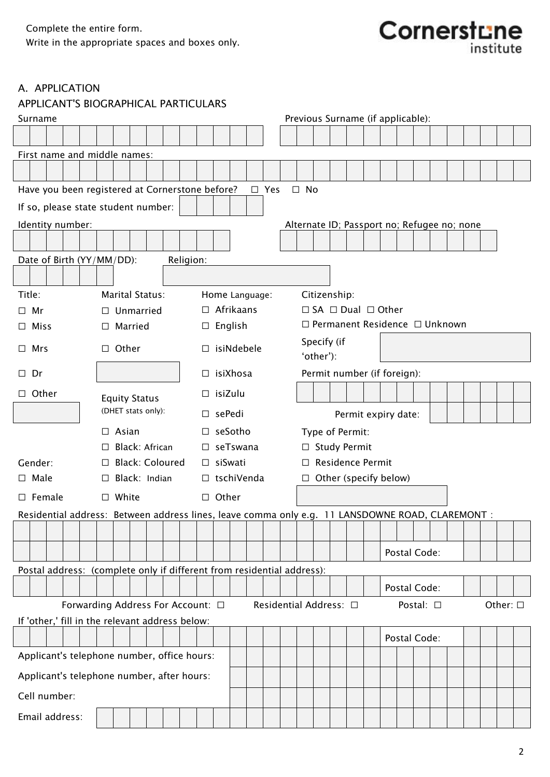

## A. APPLICATION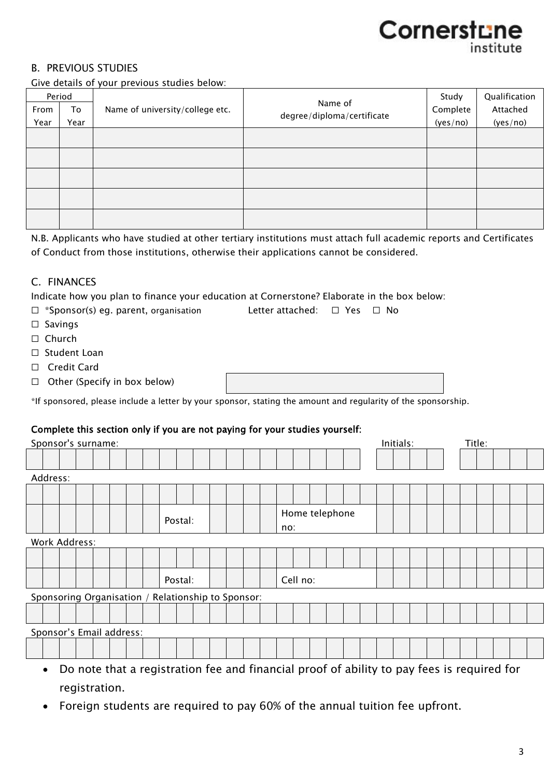## Cornerstune institute

## B. PREVIOUS STUDIES

Give details of your previous studies below:

| Period |      |                                 |                                       | Study    | Qualification |
|--------|------|---------------------------------|---------------------------------------|----------|---------------|
| From   | To   | Name of university/college etc. | Name of<br>degree/diploma/certificate | Complete | Attached      |
| Year   | Year |                                 |                                       | (yes/no) | (yes/no)      |
|        |      |                                 |                                       |          |               |
|        |      |                                 |                                       |          |               |
|        |      |                                 |                                       |          |               |
|        |      |                                 |                                       |          |               |
|        |      |                                 |                                       |          |               |
|        |      |                                 |                                       |          |               |
|        |      |                                 |                                       |          |               |
|        |      |                                 |                                       |          |               |
|        |      |                                 |                                       |          |               |
|        |      |                                 |                                       |          |               |

N.B. Applicants who have studied at other tertiary institutions must attach full academic reports and Certificates of Conduct from those institutions, otherwise their applications cannot be considered.

## C. FINANCES

Indicate how you plan to finance your education at Cornerstone? Elaborate in the box below:

- ☐ \*Sponsor(s) eg. parent, organisation Letter attached: ☐ Yes ☐ No
- □ Savings
- ☐ Church
- □ Student Loan
- ☐ Credit Card
- $\Box$  Other (Specify in box below)

\*If sponsored, please include a letter by your sponsor, stating the amount and regularity of the sponsorship.

## Complete this section only if you are not paying for your studies yourself:

| Sponsor's surname:                                                                                      | Initials: | Title: |  |  |  |  |  |  |  |  |  |
|---------------------------------------------------------------------------------------------------------|-----------|--------|--|--|--|--|--|--|--|--|--|
|                                                                                                         |           |        |  |  |  |  |  |  |  |  |  |
| Address:                                                                                                |           |        |  |  |  |  |  |  |  |  |  |
|                                                                                                         |           |        |  |  |  |  |  |  |  |  |  |
| Home telephone<br>Postal:<br>no:                                                                        |           |        |  |  |  |  |  |  |  |  |  |
| Work Address:                                                                                           |           |        |  |  |  |  |  |  |  |  |  |
|                                                                                                         |           |        |  |  |  |  |  |  |  |  |  |
| Cell no:<br>Postal:                                                                                     |           |        |  |  |  |  |  |  |  |  |  |
| Sponsoring Organisation / Relationship to Sponsor:                                                      |           |        |  |  |  |  |  |  |  |  |  |
|                                                                                                         |           |        |  |  |  |  |  |  |  |  |  |
| Sponsor's Email address:                                                                                |           |        |  |  |  |  |  |  |  |  |  |
|                                                                                                         |           |        |  |  |  |  |  |  |  |  |  |
| Do note that a registration fee and financial proof of ability to pay fees is required for<br>$\bullet$ |           |        |  |  |  |  |  |  |  |  |  |

- Do note that a registration fee and financial proof of ability to pay fees is required for registration.
- Foreign students are required to pay 60% of the annual tuition fee upfront.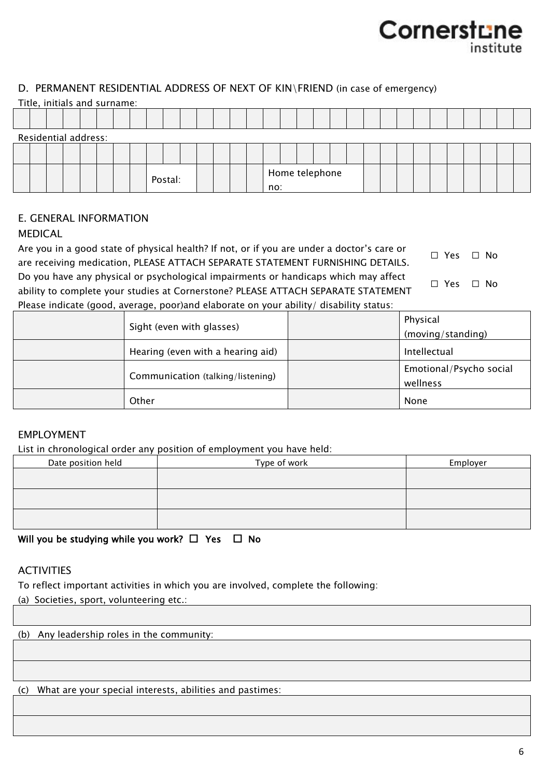## Cornerstu institute

## D. PERMANENT RESIDENTIAL ADDRESS OF NEXT OF KIN\FRIEND (in case of emergency)

|  | Title, initials and surname: |  |  |  |         |  |  |     |                |  |  |  |  |  |  |  |
|--|------------------------------|--|--|--|---------|--|--|-----|----------------|--|--|--|--|--|--|--|
|  |                              |  |  |  |         |  |  |     |                |  |  |  |  |  |  |  |
|  | Residential address:         |  |  |  |         |  |  |     |                |  |  |  |  |  |  |  |
|  |                              |  |  |  |         |  |  |     |                |  |  |  |  |  |  |  |
|  |                              |  |  |  | Postal: |  |  | no: | Home telephone |  |  |  |  |  |  |  |

## E. GENERAL INFORMATION

## MEDICAL

Are you in a good state of physical health? If not, or if you are under a doctor's care or are receiving medication, PLEASE ATTACH SEPARATE STATEMENT FURNISHING DETAILS. ☐ Yes ☐ No Do you have any physical or psychological impairments or handicaps which may affect ability to complete your studies at Cornerstone? PLEASE ATTACH SEPARATE STATEMENT ☐ Yes ☐ No

Please indicate (good, average, poor)and elaborate on your ability/ disability status:

| Sight (even with glasses)         | Physical<br>(moving/standing)       |
|-----------------------------------|-------------------------------------|
| Hearing (even with a hearing aid) | Intellectual                        |
| Communication (talking/listening) | Emotional/Psycho social<br>wellness |
| Other                             | None                                |

## EMPLOYMENT

List in chronological order any position of employment you have held:

| ___<br>$-$         | __<br>. .    |          |
|--------------------|--------------|----------|
| Date position held | Type of work | Employer |
|                    |              |          |
|                    |              |          |
|                    |              |          |
|                    |              |          |
|                    |              |          |
|                    |              |          |

Will you be studying while you work?  $\Box$  Yes  $\Box$  No

## **ACTIVITIES**

To reflect important activities in which you are involved, complete the following:

(a) Societies, sport, volunteering etc.:

(b) Any leadership roles in the community:

(c) What are your special interests, abilities and pastimes: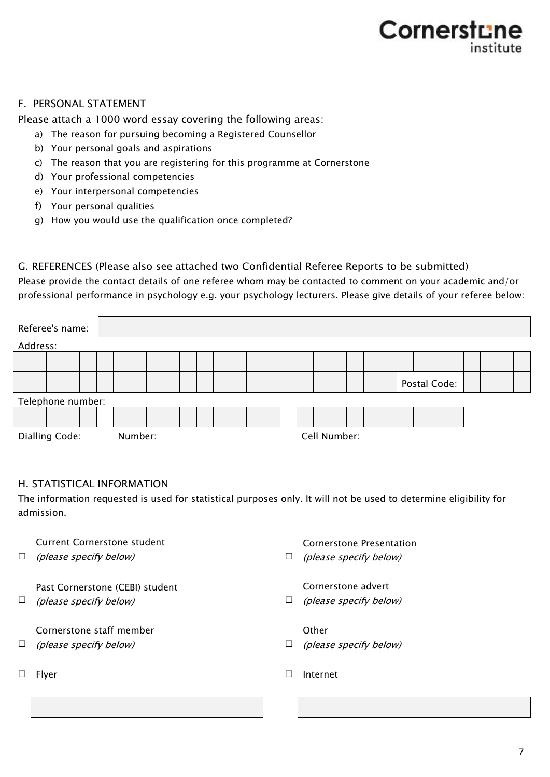## Cornerstu institute

## F. PERSONAL STATEMENT

Please attach a 1000 word essay covering the following areas:

- a) The reason for pursuing becoming a Registered Counsellor
- b) Your personal goals and aspirations
- c) The reason that you are registering for this programme at Cornerstone
- d) Your professional competencies
- e) Your interpersonal competencies
- f) Your personal qualities
- g) How you would use the qualification once completed?

G. REFERENCES (Please also see attached two Confidential Referee Reports to be submitted) Please provide the contact details of one referee whom may be contacted to comment on your academic and/or professional performance in psychology e.g. your psychology lecturers. Please give details of your referee below:

| Referee's name:   |  |  |         |  |  |  |  |  |              |  |  |              |  |  |  |
|-------------------|--|--|---------|--|--|--|--|--|--------------|--|--|--------------|--|--|--|
| Address:          |  |  |         |  |  |  |  |  |              |  |  |              |  |  |  |
|                   |  |  |         |  |  |  |  |  |              |  |  |              |  |  |  |
|                   |  |  |         |  |  |  |  |  |              |  |  | Postal Code: |  |  |  |
| Telephone number: |  |  |         |  |  |  |  |  |              |  |  |              |  |  |  |
|                   |  |  |         |  |  |  |  |  |              |  |  |              |  |  |  |
| Dialling Code:    |  |  | Number: |  |  |  |  |  | Cell Number: |  |  |              |  |  |  |

## H. STATISTICAL INFORMATION

The information requested is used for statistical purposes only. It will not be used to determine eligibility for admission.

| $\Box$ | Current Cornerstone student<br>(please specify below)     | ப | Cornerstone Presentation<br>(please specify below) |
|--------|-----------------------------------------------------------|---|----------------------------------------------------|
| ⊔      | Past Cornerstone (CEBI) student<br>(please specify below) | ⊔ | Cornerstone advert<br>(please specify below)       |
| $\Box$ | Cornerstone staff member<br>(please specify below)        | ⊔ | Other<br>(please specify below)                    |
|        | <b>Flver</b>                                              |   | Internet                                           |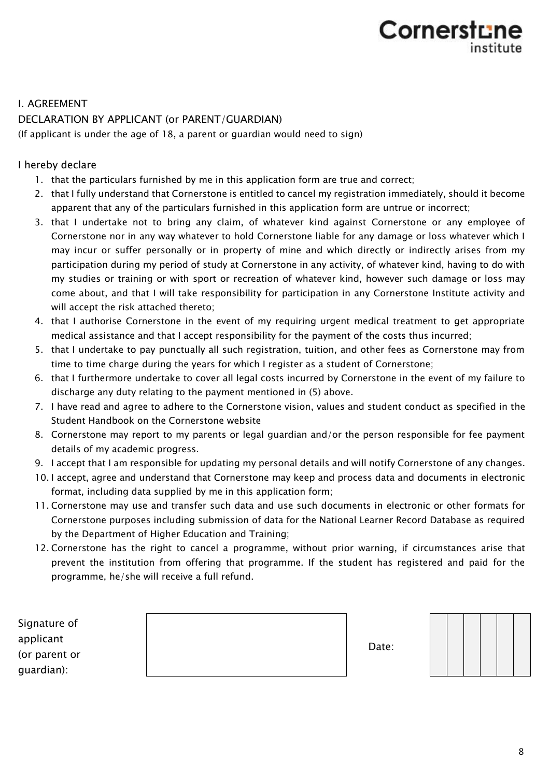# Cornerstur

## I. AGREEMENT

## DECLARATION BY APPLICANT (or PARENT/GUARDIAN)

(If applicant is under the age of 18, a parent or guardian would need to sign)

I hereby declare

- 1. that the particulars furnished by me in this application form are true and correct;
- 2. that I fully understand that Cornerstone is entitled to cancel my registration immediately, should it become apparent that any of the particulars furnished in this application form are untrue or incorrect;
- 3. that I undertake not to bring any claim, of whatever kind against Cornerstone or any employee of Cornerstone nor in any way whatever to hold Cornerstone liable for any damage or loss whatever which I may incur or suffer personally or in property of mine and which directly or indirectly arises from my participation during my period of study at Cornerstone in any activity, of whatever kind, having to do with my studies or training or with sport or recreation of whatever kind, however such damage or loss may come about, and that I will take responsibility for participation in any Cornerstone Institute activity and will accept the risk attached thereto;
- 4. that I authorise Cornerstone in the event of my requiring urgent medical treatment to get appropriate medical assistance and that I accept responsibility for the payment of the costs thus incurred;
- 5. that I undertake to pay punctually all such registration, tuition, and other fees as Cornerstone may from time to time charge during the years for which I register as a student of Cornerstone;
- 6. that I furthermore undertake to cover all legal costs incurred by Cornerstone in the event of my failure to discharge any duty relating to the payment mentioned in (5) above.
- 7. I have read and agree to adhere to the Cornerstone vision, values and student conduct as specified in the Student Handbook on the Cornerstone website
- 8. Cornerstone may report to my parents or legal guardian and/or the person responsible for fee payment details of my academic progress.
- 9. I accept that I am responsible for updating my personal details and will notify Cornerstone of any changes.
- 10. I accept, agree and understand that Cornerstone may keep and process data and documents in electronic format, including data supplied by me in this application form;
- 11. Cornerstone may use and transfer such data and use such documents in electronic or other formats for Cornerstone purposes including submission of data for the National Learner Record Database as required by the Department of Higher Education and Training;
- 12. Cornerstone has the right to cancel a programme, without prior warning, if circumstances arise that prevent the institution from offering that programme. If the student has registered and paid for the programme, he/she will receive a full refund.

| Signature of  |
|---------------|
| applicant     |
| (or parent or |
| quardian):    |

| ⊃ |
|---|
|   |
|   |
|   |
|   |
|   |
|   |
|   |
|   |
|   |



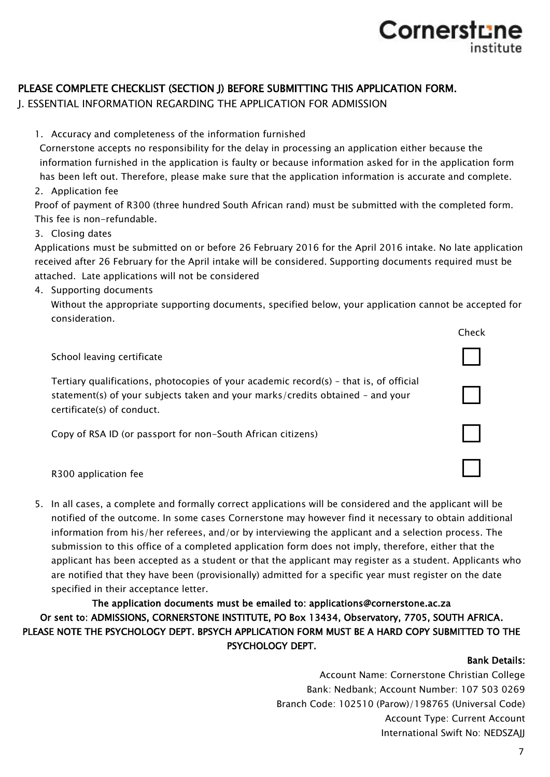## PLEASE COMPLETE CHECKLIST (SECTION J) BEFORE SUBMITTING THIS APPLICATION FORM.

J. ESSENTIAL INFORMATION REGARDING THE APPLICATION FOR ADMISSION

1. Accuracy and completeness of the information furnished

Cornerstone accepts no responsibility for the delay in processing an application either because the information furnished in the application is faulty or because information asked for in the application form has been left out. Therefore, please make sure that the application information is accurate and complete.

2. Application fee

Proof of payment of R300 (three hundred South African rand) must be submitted with the completed form. This fee is non-refundable.

#### 3. Closing dates

Applications must be submitted on or before 26 February 2016 for the April 2016 intake. No late application received after 26 February for the April intake will be considered. Supporting documents required must be attached. Late applications will not be considered

4. Supporting documents

Without the appropriate supporting documents, specified below, your application cannot be accepted for consideration.



5. In all cases, a complete and formally correct applications will be considered and the applicant will be notified of the outcome. In some cases Cornerstone may however find it necessary to obtain additional information from his/her referees, and/or by interviewing the applicant and a selection process. The submission to this office of a completed application form does not imply, therefore, either that the applicant has been accepted as a student or that the applicant may register as a student. Applicants who are notified that they have been (provisionally) admitted for a specific year must register on the date specified in their acceptance letter.

## The application documents must be emailed to: applications@cornerstone.ac.za Or sent to: ADMISSIONS, CORNERSTONE INSTITUTE, PO Box 13434, Observatory, 7705, SOUTH AFRICA. PLEASE NOTE THE PSYCHOLOGY DEPT. BPSYCH APPLICATION FORM MUST BE A HARD COPY SUBMITTED TO THE PSYCHOLOGY DEPT.

## Bank Details:

Account Name: Cornerstone Christian College Bank: Nedbank; Account Number: 107 503 0269 Branch Code: 102510 (Parow)/198765 (Universal Code) Account Type: Current Account International Swift No: NEDSZAJJ

Cornerstu